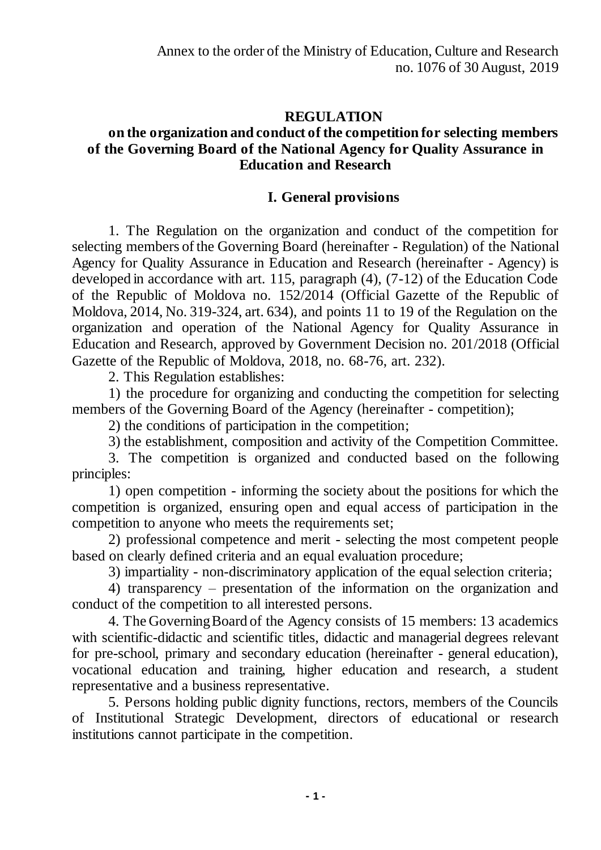# **REGULATION**

# **on the organization and conduct of the competition for selecting members of the Governing Board of the National Agency for Quality Assurance in Education and Research**

# **I. General provisions**

1. The Regulation on the organization and conduct of the competition for selecting members of the Governing Board (hereinafter - Regulation) of the National Agency for Quality Assurance in Education and Research (hereinafter - Agency) is developed in accordance with art. 115, paragraph (4), (7-12) of the Education Code of the Republic of Moldova no. 152/2014 (Official Gazette of the Republic of Moldova, 2014, No. 319-324, art. 634), and points 11 to 19 of the Regulation on the organization and operation of the National Agency for Quality Assurance in Education and Research, approved by Government Decision no. 201/2018 (Official Gazette of the Republic of Moldova, 2018, no. 68-76, art. 232).

2. This Regulation establishes:

1) the procedure for organizing and conducting the competition for selecting members of the Governing Board of the Agency (hereinafter - competition);

2) the conditions of participation in the competition;

3) the establishment, composition and activity of the Competition Committee.

3. The competition is organized and conducted based on the following principles:

1) open competition - informing the society about the positions for which the competition is organized, ensuring open and equal access of participation in the competition to anyone who meets the requirements set;

2) professional competence and merit - selecting the most competent people based on clearly defined criteria and an equal evaluation procedure;

3) impartiality - non-discriminatory application of the equal selection criteria;

4) transparency – presentation of the information on the organization and conduct of the competition to all interested persons.

4. The Governing Board of the Agency consists of 15 members: 13 academics with scientific-didactic and scientific titles, didactic and managerial degrees relevant for pre-school, primary and secondary education (hereinafter - general education), vocational education and training, higher education and research, a student representative and a business representative.

5. Persons holding public dignity functions, rectors, members of the Councils of Institutional Strategic Development, directors of educational or research institutions cannot participate in the competition.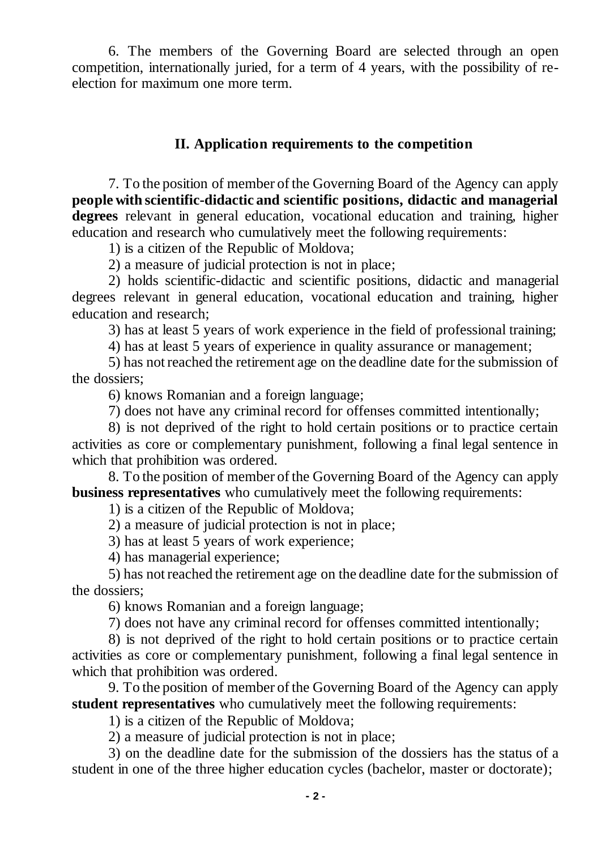6. The members of the Governing Board are selected through an open competition, internationally juried, for a term of 4 years, with the possibility of reelection for maximum one more term.

# **II. Application requirements to the competition**

7. To the position of member of the Governing Board of the Agency can apply **people with scientific-didactic and scientific positions, didactic and managerial degrees** relevant in general education, vocational education and training, higher education and research who cumulatively meet the following requirements:

1) is a citizen of the Republic of Moldova;

2) a measure of judicial protection is not in place;

2) holds scientific-didactic and scientific positions, didactic and managerial degrees relevant in general education, vocational education and training, higher education and research;

3) has at least 5 years of work experience in the field of professional training;

4) has at least 5 years of experience in quality assurance or management;

5) has not reached the retirement age on the deadline date for the submission of the dossiers;

6) knows Romanian and a foreign language;

7) does not have any criminal record for offenses committed intentionally;

8) is not deprived of the right to hold certain positions or to practice certain activities as core or complementary punishment, following a final legal sentence in which that prohibition was ordered.

8. To the position of member of the Governing Board of the Agency can apply **business representatives** who cumulatively meet the following requirements:

1) is a citizen of the Republic of Moldova;

2) a measure of judicial protection is not in place;

3) has at least 5 years of work experience;

4) has managerial experience;

5) has not reached the retirement age on the deadline date for the submission of the dossiers;

6) knows Romanian and a foreign language;

7) does not have any criminal record for offenses committed intentionally;

8) is not deprived of the right to hold certain positions or to practice certain activities as core or complementary punishment, following a final legal sentence in which that prohibition was ordered.

9. To the position of member of the Governing Board of the Agency can apply **student representatives** who cumulatively meet the following requirements:

1) is a citizen of the Republic of Moldova;

2) a measure of judicial protection is not in place;

3) on the deadline date for the submission of the dossiers has the status of a student in one of the three higher education cycles (bachelor, master or doctorate);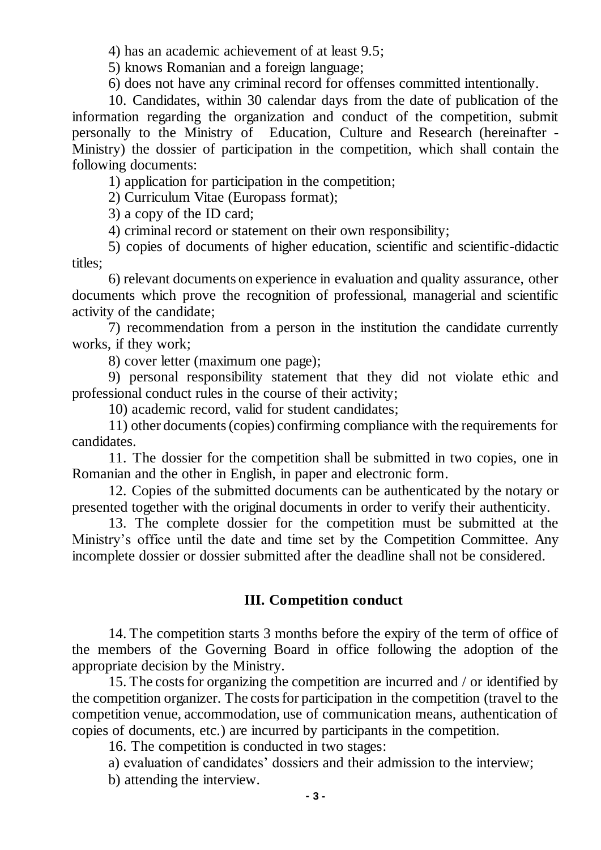4) has an academic achievement of at least 9.5;

5) knows Romanian and a foreign language;

6) does not have any criminal record for offenses committed intentionally.

10. Candidates, within 30 calendar days from the date of publication of the information regarding the organization and conduct of the competition, submit personally to the Ministry of Education, Culture and Research (hereinafter - Ministry) the dossier of participation in the competition, which shall contain the following documents:

1) application for participation in the competition;

2) Curriculum Vitae (Europass format);

3) a copy of the ID card;

4) criminal record or statement on their own responsibility;

5) copies of documents of higher education, scientific and scientific-didactic titles;

6) relevant documents on experience in evaluation and quality assurance, other documents which prove the recognition of professional, managerial and scientific activity of the candidate;

7) recommendation from a person in the institution the candidate currently works, if they work;

8) cover letter (maximum one page);

9) personal responsibility statement that they did not violate ethic and professional conduct rules in the course of their activity;

10) academic record, valid for student candidates;

11) other documents (copies) confirming compliance with the requirements for candidates.

11. The dossier for the competition shall be submitted in two copies, one in Romanian and the other in English, in paper and electronic form.

12. Copies of the submitted documents can be authenticated by the notary or presented together with the original documents in order to verify their authenticity.

13. The complete dossier for the competition must be submitted at the Ministry's office until the date and time set by the Competition Committee. Any incomplete dossier or dossier submitted after the deadline shall not be considered.

#### **III. Competition conduct**

14. The competition starts 3 months before the expiry of the term of office of the members of the Governing Board in office following the adoption of the appropriate decision by the Ministry.

15. The costs for organizing the competition are incurred and / or identified by the competition organizer. The costs for participation in the competition (travel to the competition venue, accommodation, use of communication means, authentication of copies of documents, etc.) are incurred by participants in the competition.

16. The competition is conducted in two stages:

a) evaluation of candidates' dossiers and their admission to the interview;

b) attending the interview.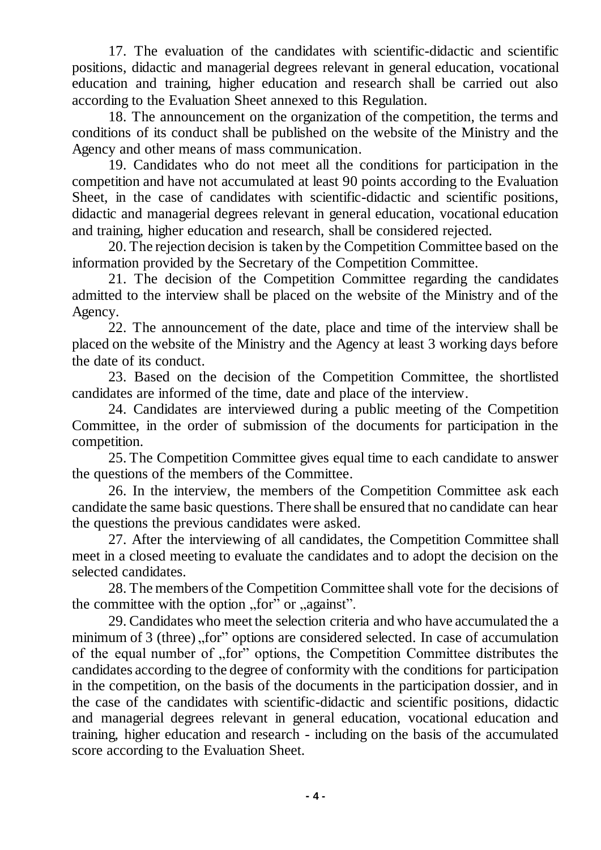17. The evaluation of the candidates with scientific-didactic and scientific positions, didactic and managerial degrees relevant in general education, vocational education and training, higher education and research shall be carried out also according to the Evaluation Sheet annexed to this Regulation.

18. The announcement on the organization of the competition, the terms and conditions of its conduct shall be published on the website of the Ministry and the Agency and other means of mass communication.

19. Candidates who do not meet all the conditions for participation in the competition and have not accumulated at least 90 points according to the Evaluation Sheet, in the case of candidates with scientific-didactic and scientific positions, didactic and managerial degrees relevant in general education, vocational education and training, higher education and research, shall be considered rejected.

20. The rejection decision is taken by the Competition Committee based on the information provided by the Secretary of the Competition Committee.

21. The decision of the Competition Committee regarding the candidates admitted to the interview shall be placed on the website of the Ministry and of the Agency.

22. The announcement of the date, place and time of the interview shall be placed on the website of the Ministry and the Agency at least 3 working days before the date of its conduct.

23. Based on the decision of the Competition Committee, the shortlisted candidates are informed of the time, date and place of the interview.

24. Candidates are interviewed during a public meeting of the Competition Committee, in the order of submission of the documents for participation in the competition.

25. The Competition Committee gives equal time to each candidate to answer the questions of the members of the Committee.

26. In the interview, the members of the Competition Committee ask each candidate the same basic questions. There shall be ensured that no candidate can hear the questions the previous candidates were asked.

27. After the interviewing of all candidates, the Competition Committee shall meet in a closed meeting to evaluate the candidates and to adopt the decision on the selected candidates.

28. The members of the Competition Committee shall vote for the decisions of the committee with the option  $,$  for  $\degree$  or  $,$  against".

29. Candidates who meet the selection criteria and who have accumulated the a minimum of 3 (three)  $\pi$ , for" options are considered selected. In case of accumulation of the equal number of "for" options, the Competition Committee distributes the candidates according to the degree of conformity with the conditions for participation in the competition, on the basis of the documents in the participation dossier, and in the case of the candidates with scientific-didactic and scientific positions, didactic and managerial degrees relevant in general education, vocational education and training, higher education and research - including on the basis of the accumulated score according to the Evaluation Sheet.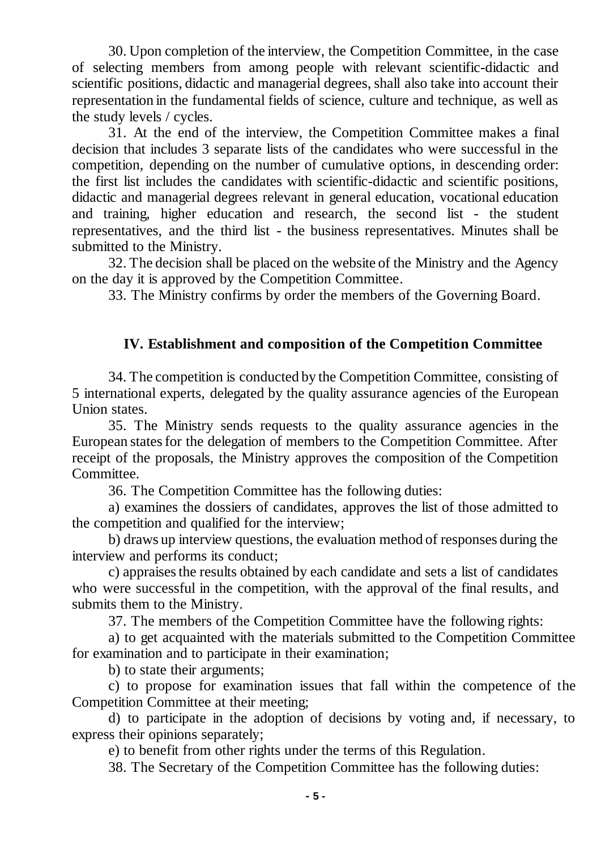30. Upon completion of the interview, the Competition Committee, in the case of selecting members from among people with relevant scientific-didactic and scientific positions, didactic and managerial degrees, shall also take into account their representation in the fundamental fields of science, culture and technique, as well as the study levels / cycles.

31. At the end of the interview, the Competition Committee makes a final decision that includes 3 separate lists of the candidates who were successful in the competition, depending on the number of cumulative options, in descending order: the first list includes the candidates with scientific-didactic and scientific positions, didactic and managerial degrees relevant in general education, vocational education and training, higher education and research, the second list - the student representatives, and the third list - the business representatives. Minutes shall be submitted to the Ministry.

32. The decision shall be placed on the website of the Ministry and the Agency on the day it is approved by the Competition Committee.

33. The Ministry confirms by order the members of the Governing Board.

# **IV. Establishment and composition of the Competition Committee**

34. The competition is conducted by the Competition Committee, consisting of 5 international experts, delegated by the quality assurance agencies of the European Union states.

35. The Ministry sends requests to the quality assurance agencies in the European states for the delegation of members to the Competition Committee. After receipt of the proposals, the Ministry approves the composition of the Competition Committee.

36. The Competition Committee has the following duties:

a) examines the dossiers of candidates, approves the list of those admitted to the competition and qualified for the interview;

b) draws up interview questions, the evaluation method of responses during the interview and performs its conduct;

c) appraises the results obtained by each candidate and sets a list of candidates who were successful in the competition, with the approval of the final results, and submits them to the Ministry.

37. The members of the Competition Committee have the following rights:

a) to get acquainted with the materials submitted to the Competition Committee for examination and to participate in their examination;

b) to state their arguments;

c) to propose for examination issues that fall within the competence of the Competition Committee at their meeting;

d) to participate in the adoption of decisions by voting and, if necessary, to express their opinions separately;

e) to benefit from other rights under the terms of this Regulation.

38. The Secretary of the Competition Committee has the following duties: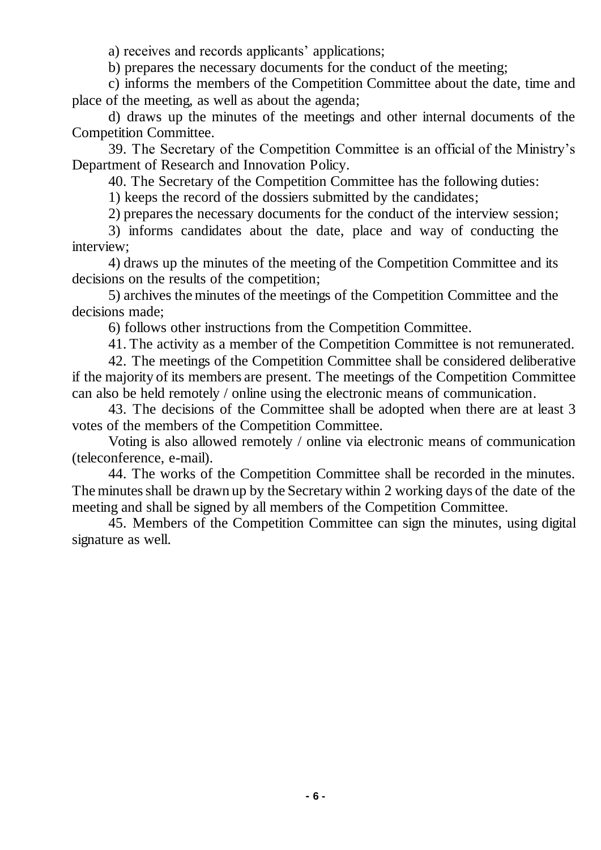a) receives and records applicants' applications;

b) prepares the necessary documents for the conduct of the meeting;

c) informs the members of the Competition Committee about the date, time and place of the meeting, as well as about the agenda;

d) draws up the minutes of the meetings and other internal documents of the Competition Committee.

39. The Secretary of the Competition Committee is an official of the Ministry's Department of Research and Innovation Policy.

40. The Secretary of the Competition Committee has the following duties:

1) keeps the record of the dossiers submitted by the candidates;

2) prepares the necessary documents for the conduct of the interview session;

3) informs candidates about the date, place and way of conducting the interview;

4) draws up the minutes of the meeting of the Competition Committee and its decisions on the results of the competition;

5) archives the minutes of the meetings of the Competition Committee and the decisions made;

6) follows other instructions from the Competition Committee.

41. The activity as a member of the Competition Committee is not remunerated.

42. The meetings of the Competition Committee shall be considered deliberative if the majority of its members are present. The meetings of the Competition Committee can also be held remotely / online using the electronic means of communication.

43. The decisions of the Committee shall be adopted when there are at least 3 votes of the members of the Competition Committee.

Voting is also allowed remotely / online via electronic means of communication (teleconference, e-mail).

44. The works of the Competition Committee shall be recorded in the minutes. The minutes shall be drawn up by the Secretary within 2 working days of the date of the meeting and shall be signed by all members of the Competition Committee.

45. Members of the Competition Committee can sign the minutes, using digital signature as well.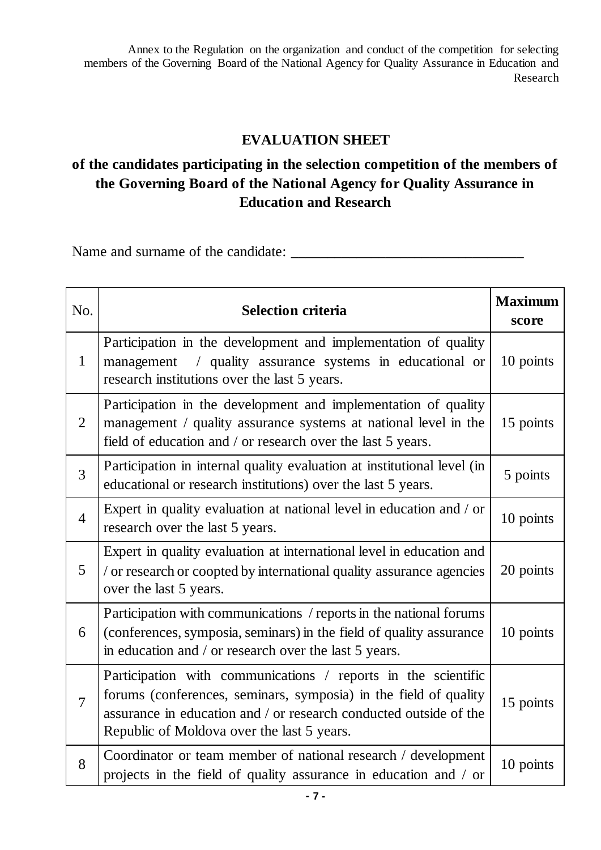Annex to the Regulation on the organization and conduct of the competition for selecting members of the Governing Board of the National Agency for Quality Assurance in Education and Research

# **EVALUATION SHEET**

# **of the candidates participating in the selection competition of the members of the Governing Board of the National Agency for Quality Assurance in Education and Research**

Name and surname of the candidate: \_\_\_\_\_\_\_\_\_\_\_\_\_\_\_\_\_\_\_\_\_\_\_\_\_\_\_\_\_\_\_\_

| No.            | <b>Selection criteria</b>                                                                                                                                                                                                                            | <b>Maximum</b><br>score |
|----------------|------------------------------------------------------------------------------------------------------------------------------------------------------------------------------------------------------------------------------------------------------|-------------------------|
| $\mathbf{1}$   | Participation in the development and implementation of quality<br>management / quality assurance systems in educational or<br>research institutions over the last 5 years.                                                                           | 10 points               |
| 2              | Participation in the development and implementation of quality<br>management / quality assurance systems at national level in the<br>field of education and / or research over the last 5 years.                                                     | 15 points               |
| 3              | Participation in internal quality evaluation at institutional level (in<br>educational or research institutions) over the last 5 years.                                                                                                              | 5 points                |
| $\overline{4}$ | Expert in quality evaluation at national level in education and / or<br>research over the last 5 years.                                                                                                                                              | 10 points               |
| 5              | Expert in quality evaluation at international level in education and<br>/ or research or coopted by international quality assurance agencies<br>over the last 5 years.                                                                               | 20 points               |
| 6              | Participation with communications / reports in the national forums<br>(conferences, symposia, seminars) in the field of quality assurance<br>in education and / or research over the last 5 years.                                                   | 10 points               |
| $\overline{7}$ | Participation with communications / reports in the scientific<br>forums (conferences, seminars, symposia) in the field of quality<br>assurance in education and / or research conducted outside of the<br>Republic of Moldova over the last 5 years. | 15 points               |
| 8              | Coordinator or team member of national research / development<br>projects in the field of quality assurance in education and / or                                                                                                                    | 10 points               |